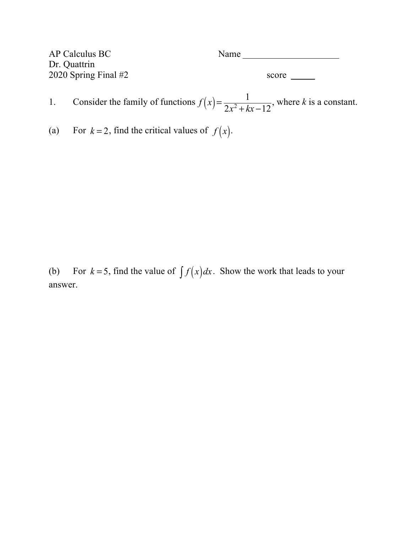| AP Calculus BC         | Name  |
|------------------------|-------|
| Dr. Quattrin           |       |
| 2020 Spring Final $#2$ | score |

- 1. Consider the family of functions  $f(x) = \frac{1}{2x^2 + bx 12}$ , where *k* is a constant.  $2x^2 + kx - 12$
- (a) For  $k = 2$ , find the critical values of  $f(x)$ .

(b) For  $k = 5$ , find the value of  $\int f(x)dx$ . Show the work that leads to your answer.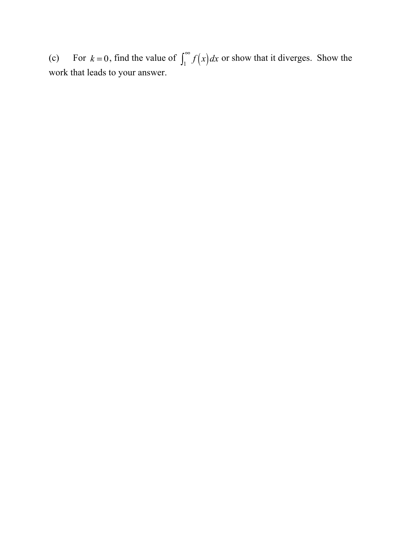(c) For  $k=0$ , find the value of  $\int_{0}^{\infty} f(x)dx$  or show that it diverges. Show the work that leads to your answer.  $k = 0$ , find the value of  $\int_1^{\infty} f(x) dx$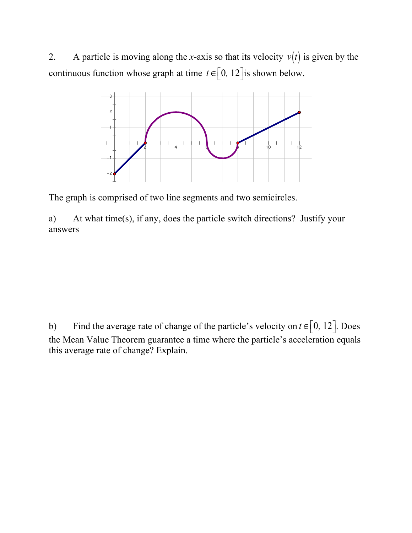2. A particle is moving along the *x*-axis so that its velocity  $v(t)$  is given by the continuous function whose graph at time  $t \in [0, 12]$  is shown below.



The graph is comprised of two line segments and two semicircles.

a) At what time(s), if any, does the particle switch directions? Justify your answers

b) Find the average rate of change of the particle's velocity on  $t \in [0, 12]$ . Does the Mean Value Theorem guarantee a time where the particle's acceleration equals this average rate of change? Explain.